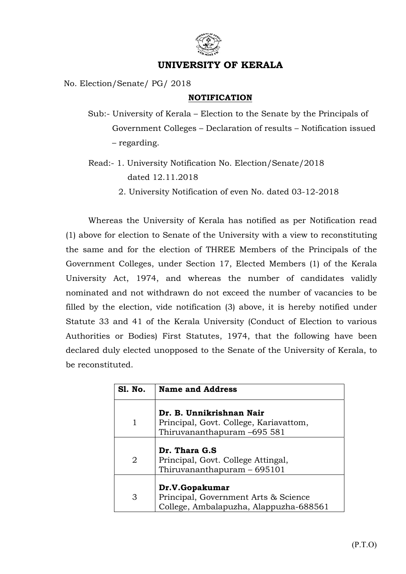

## UNIVERSITY OF KERALA

No. Election/Senate/ PG/ 2018

## NOTIFICATION

Sub:- University of Kerala – Election to the Senate by the Principals of Government Colleges – Declaration of results – Notification issued – regarding.

- Read:- 1. University Notification No. Election/Senate/2018 dated 12.11.2018
	- 2. University Notification of even No. dated 03-12-2018

 Whereas the University of Kerala has notified as per Notification read (1) above for election to Senate of the University with a view to reconstituting the same and for the election of THREE Members of the Principals of the Government Colleges, under Section 17, Elected Members (1) of the Kerala University Act, 1974, and whereas the number of candidates validly nominated and not withdrawn do not exceed the number of vacancies to be filled by the election, vide notification (3) above, it is hereby notified under Statute 33 and 41 of the Kerala University (Conduct of Election to various Authorities or Bodies) First Statutes, 1974, that the following have been declared duly elected unopposed to the Senate of the University of Kerala, to be reconstituted.

| <b>S1. No.</b> | <b>Name and Address</b>                                                                           |
|----------------|---------------------------------------------------------------------------------------------------|
|                | Dr. B. Unnikrishnan Nair<br>Principal, Govt. College, Kariavattom,<br>Thiruvananthapuram -695 581 |
|                |                                                                                                   |
|                | Dr. Thara G.S                                                                                     |
| 2              | Principal, Govt. College Attingal,                                                                |
|                | Thiruvananthapuram $-695101$                                                                      |
|                |                                                                                                   |
|                | Dr.V.Gopakumar                                                                                    |
| 3              | Principal, Government Arts & Science                                                              |
|                | College, Ambalapuzha, Alappuzha-688561                                                            |